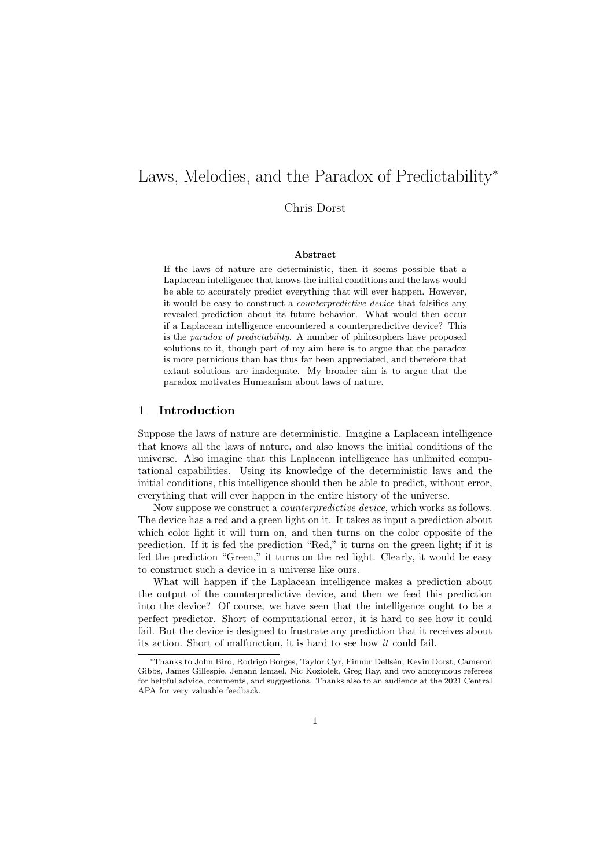# Laws, Melodies, and the Paradox of Predictability<sup>∗</sup>

Chris Dorst

### Abstract

If the laws of nature are deterministic, then it seems possible that a Laplacean intelligence that knows the initial conditions and the laws would be able to accurately predict everything that will ever happen. However, it would be easy to construct a counterpredictive device that falsifies any revealed prediction about its future behavior. What would then occur if a Laplacean intelligence encountered a counterpredictive device? This is the paradox of predictability. A number of philosophers have proposed solutions to it, though part of my aim here is to argue that the paradox is more pernicious than has thus far been appreciated, and therefore that extant solutions are inadequate. My broader aim is to argue that the paradox motivates Humeanism about laws of nature.

## 1 Introduction

Suppose the laws of nature are deterministic. Imagine a Laplacean intelligence that knows all the laws of nature, and also knows the initial conditions of the universe. Also imagine that this Laplacean intelligence has unlimited computational capabilities. Using its knowledge of the deterministic laws and the initial conditions, this intelligence should then be able to predict, without error, everything that will ever happen in the entire history of the universe.

Now suppose we construct a counterpredictive device, which works as follows. The device has a red and a green light on it. It takes as input a prediction about which color light it will turn on, and then turns on the color opposite of the prediction. If it is fed the prediction "Red," it turns on the green light; if it is fed the prediction "Green," it turns on the red light. Clearly, it would be easy to construct such a device in a universe like ours.

What will happen if the Laplacean intelligence makes a prediction about the output of the counterpredictive device, and then we feed this prediction into the device? Of course, we have seen that the intelligence ought to be a perfect predictor. Short of computational error, it is hard to see how it could fail. But the device is designed to frustrate any prediction that it receives about its action. Short of malfunction, it is hard to see how it could fail.

<sup>∗</sup>Thanks to John Biro, Rodrigo Borges, Taylor Cyr, Finnur Dells´en, Kevin Dorst, Cameron Gibbs, James Gillespie, Jenann Ismael, Nic Koziolek, Greg Ray, and two anonymous referees for helpful advice, comments, and suggestions. Thanks also to an audience at the 2021 Central APA for very valuable feedback.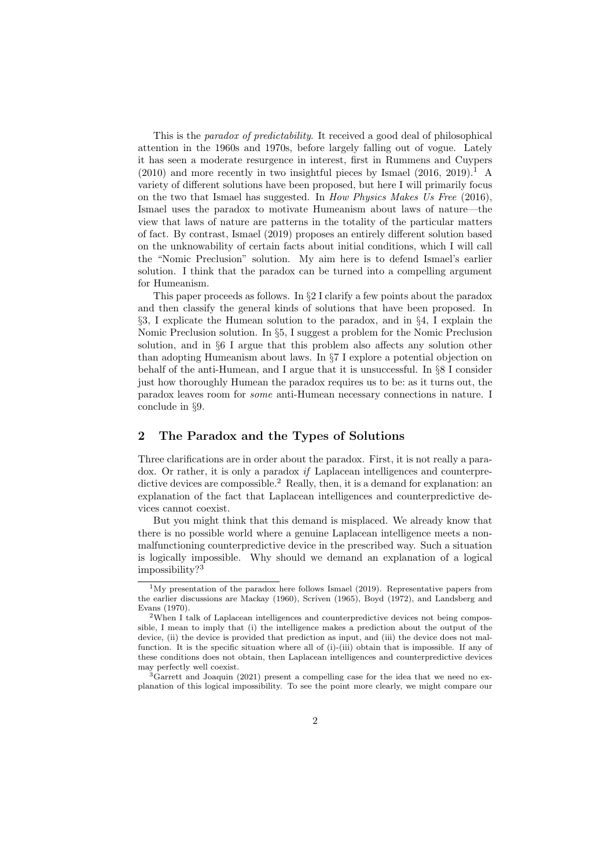This is the *paradox of predictability*. It received a good deal of philosophical attention in the 1960s and 1970s, before largely falling out of vogue. Lately it has seen a moderate resurgence in interest, first in Rummens and Cuypers  $(2010)$  and more recently in two insightful pieces by Ismael  $(2016, 2019).$ <sup>1</sup> A variety of different solutions have been proposed, but here I will primarily focus on the two that Ismael has suggested. In How Physics Makes Us Free (2016), Ismael uses the paradox to motivate Humeanism about laws of nature—the view that laws of nature are patterns in the totality of the particular matters of fact. By contrast, Ismael (2019) proposes an entirely different solution based on the unknowability of certain facts about initial conditions, which I will call the "Nomic Preclusion" solution. My aim here is to defend Ismael's earlier solution. I think that the paradox can be turned into a compelling argument for Humeanism.

This paper proceeds as follows. In §2 I clarify a few points about the paradox and then classify the general kinds of solutions that have been proposed. In §3, I explicate the Humean solution to the paradox, and in §4, I explain the Nomic Preclusion solution. In §5, I suggest a problem for the Nomic Preclusion solution, and in §6 I argue that this problem also affects any solution other than adopting Humeanism about laws. In §7 I explore a potential objection on behalf of the anti-Humean, and I argue that it is unsuccessful. In §8 I consider just how thoroughly Humean the paradox requires us to be: as it turns out, the paradox leaves room for some anti-Humean necessary connections in nature. I conclude in §9.

### 2 The Paradox and the Types of Solutions

Three clarifications are in order about the paradox. First, it is not really a paradox. Or rather, it is only a paradox if Laplacean intelligences and counterpredictive devices are compossible.<sup>2</sup> Really, then, it is a demand for explanation: an explanation of the fact that Laplacean intelligences and counterpredictive devices cannot coexist.

But you might think that this demand is misplaced. We already know that there is no possible world where a genuine Laplacean intelligence meets a nonmalfunctioning counterpredictive device in the prescribed way. Such a situation is logically impossible. Why should we demand an explanation of a logical impossibility?<sup>3</sup>

 $1\text{My}$  presentation of the paradox here follows Ismael (2019). Representative papers from the earlier discussions are Mackay (1960), Scriven (1965), Boyd (1972), and Landsberg and Evans (1970).

 $2$ When I talk of Laplacean intelligences and counterpredictive devices not being compossible, I mean to imply that (i) the intelligence makes a prediction about the output of the device, (ii) the device is provided that prediction as input, and (iii) the device does not malfunction. It is the specific situation where all of (i)-(iii) obtain that is impossible. If any of these conditions does not obtain, then Laplacean intelligences and counterpredictive devices may perfectly well coexist.

<sup>&</sup>lt;sup>3</sup>Garrett and Joaquin (2021) present a compelling case for the idea that we need no explanation of this logical impossibility. To see the point more clearly, we might compare our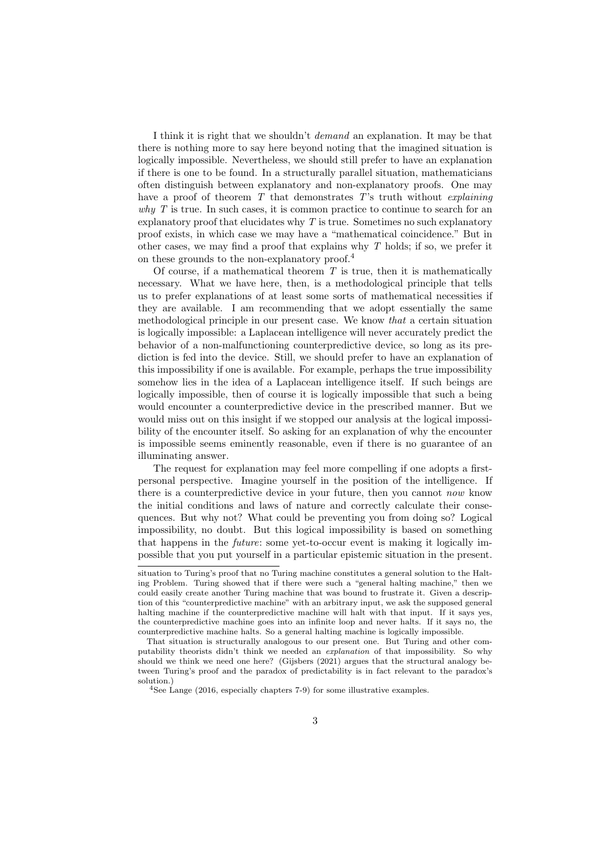I think it is right that we shouldn't demand an explanation. It may be that there is nothing more to say here beyond noting that the imagined situation is logically impossible. Nevertheless, we should still prefer to have an explanation if there is one to be found. In a structurally parallel situation, mathematicians often distinguish between explanatory and non-explanatory proofs. One may have a proof of theorem  $T$  that demonstrates  $T$ 's truth without *explaining* why T is true. In such cases, it is common practice to continue to search for an explanatory proof that elucidates why  $T$  is true. Sometimes no such explanatory proof exists, in which case we may have a "mathematical coincidence." But in other cases, we may find a proof that explains why  $T$  holds; if so, we prefer it on these grounds to the non-explanatory proof.<sup>4</sup>

Of course, if a mathematical theorem  $T$  is true, then it is mathematically necessary. What we have here, then, is a methodological principle that tells us to prefer explanations of at least some sorts of mathematical necessities if they are available. I am recommending that we adopt essentially the same methodological principle in our present case. We know that a certain situation is logically impossible: a Laplacean intelligence will never accurately predict the behavior of a non-malfunctioning counterpredictive device, so long as its prediction is fed into the device. Still, we should prefer to have an explanation of this impossibility if one is available. For example, perhaps the true impossibility somehow lies in the idea of a Laplacean intelligence itself. If such beings are logically impossible, then of course it is logically impossible that such a being would encounter a counterpredictive device in the prescribed manner. But we would miss out on this insight if we stopped our analysis at the logical impossibility of the encounter itself. So asking for an explanation of why the encounter is impossible seems eminently reasonable, even if there is no guarantee of an illuminating answer.

The request for explanation may feel more compelling if one adopts a firstpersonal perspective. Imagine yourself in the position of the intelligence. If there is a counterpredictive device in your future, then you cannot now know the initial conditions and laws of nature and correctly calculate their consequences. But why not? What could be preventing you from doing so? Logical impossibility, no doubt. But this logical impossibility is based on something that happens in the future: some yet-to-occur event is making it logically impossible that you put yourself in a particular epistemic situation in the present.

situation to Turing's proof that no Turing machine constitutes a general solution to the Halting Problem. Turing showed that if there were such a "general halting machine," then we could easily create another Turing machine that was bound to frustrate it. Given a description of this "counterpredictive machine" with an arbitrary input, we ask the supposed general halting machine if the counterpredictive machine will halt with that input. If it says yes, the counterpredictive machine goes into an infinite loop and never halts. If it says no, the counterpredictive machine halts. So a general halting machine is logically impossible.

That situation is structurally analogous to our present one. But Turing and other computability theorists didn't think we needed an explanation of that impossibility. So why should we think we need one here? (Gijsbers (2021) argues that the structural analogy between Turing's proof and the paradox of predictability is in fact relevant to the paradox's solution.)

<sup>&</sup>lt;sup>4</sup>See Lange (2016, especially chapters 7-9) for some illustrative examples.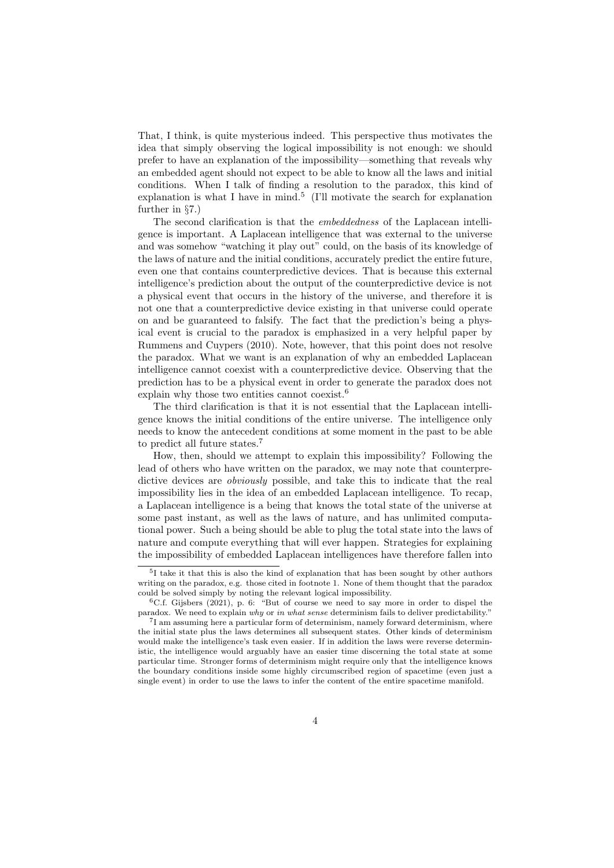That, I think, is quite mysterious indeed. This perspective thus motivates the idea that simply observing the logical impossibility is not enough: we should prefer to have an explanation of the impossibility—something that reveals why an embedded agent should not expect to be able to know all the laws and initial conditions. When I talk of finding a resolution to the paradox, this kind of explanation is what I have in mind.<sup>5</sup> (I'll motivate the search for explanation further in §7.)

The second clarification is that the embeddedness of the Laplacean intelligence is important. A Laplacean intelligence that was external to the universe and was somehow "watching it play out" could, on the basis of its knowledge of the laws of nature and the initial conditions, accurately predict the entire future, even one that contains counterpredictive devices. That is because this external intelligence's prediction about the output of the counterpredictive device is not a physical event that occurs in the history of the universe, and therefore it is not one that a counterpredictive device existing in that universe could operate on and be guaranteed to falsify. The fact that the prediction's being a physical event is crucial to the paradox is emphasized in a very helpful paper by Rummens and Cuypers (2010). Note, however, that this point does not resolve the paradox. What we want is an explanation of why an embedded Laplacean intelligence cannot coexist with a counterpredictive device. Observing that the prediction has to be a physical event in order to generate the paradox does not explain why those two entities cannot coexist.<sup>6</sup>

The third clarification is that it is not essential that the Laplacean intelligence knows the initial conditions of the entire universe. The intelligence only needs to know the antecedent conditions at some moment in the past to be able to predict all future states.<sup>7</sup>

How, then, should we attempt to explain this impossibility? Following the lead of others who have written on the paradox, we may note that counterpredictive devices are *obviously* possible, and take this to indicate that the real impossibility lies in the idea of an embedded Laplacean intelligence. To recap, a Laplacean intelligence is a being that knows the total state of the universe at some past instant, as well as the laws of nature, and has unlimited computational power. Such a being should be able to plug the total state into the laws of nature and compute everything that will ever happen. Strategies for explaining the impossibility of embedded Laplacean intelligences have therefore fallen into

<sup>5</sup> I take it that this is also the kind of explanation that has been sought by other authors writing on the paradox, e.g. those cited in footnote 1. None of them thought that the paradox could be solved simply by noting the relevant logical impossibility.

 ${}^{6}$ C.f. Gijsbers (2021), p. 6: "But of course we need to say more in order to dispel the paradox. We need to explain why or in what sense determinism fails to deliver predictability."

<sup>7</sup> I am assuming here a particular form of determinism, namely forward determinism, where the initial state plus the laws determines all subsequent states. Other kinds of determinism would make the intelligence's task even easier. If in addition the laws were reverse deterministic, the intelligence would arguably have an easier time discerning the total state at some particular time. Stronger forms of determinism might require only that the intelligence knows the boundary conditions inside some highly circumscribed region of spacetime (even just a single event) in order to use the laws to infer the content of the entire spacetime manifold.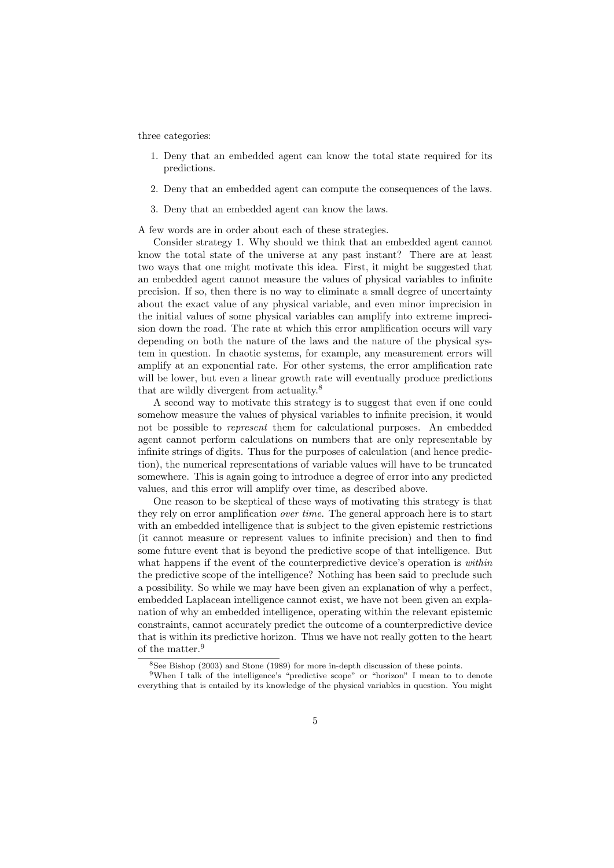three categories:

- 1. Deny that an embedded agent can know the total state required for its predictions.
- 2. Deny that an embedded agent can compute the consequences of the laws.
- 3. Deny that an embedded agent can know the laws.

A few words are in order about each of these strategies.

Consider strategy 1. Why should we think that an embedded agent cannot know the total state of the universe at any past instant? There are at least two ways that one might motivate this idea. First, it might be suggested that an embedded agent cannot measure the values of physical variables to infinite precision. If so, then there is no way to eliminate a small degree of uncertainty about the exact value of any physical variable, and even minor imprecision in the initial values of some physical variables can amplify into extreme imprecision down the road. The rate at which this error amplification occurs will vary depending on both the nature of the laws and the nature of the physical system in question. In chaotic systems, for example, any measurement errors will amplify at an exponential rate. For other systems, the error amplification rate will be lower, but even a linear growth rate will eventually produce predictions that are wildly divergent from actuality.<sup>8</sup>

A second way to motivate this strategy is to suggest that even if one could somehow measure the values of physical variables to infinite precision, it would not be possible to represent them for calculational purposes. An embedded agent cannot perform calculations on numbers that are only representable by infinite strings of digits. Thus for the purposes of calculation (and hence prediction), the numerical representations of variable values will have to be truncated somewhere. This is again going to introduce a degree of error into any predicted values, and this error will amplify over time, as described above.

One reason to be skeptical of these ways of motivating this strategy is that they rely on error amplification over time. The general approach here is to start with an embedded intelligence that is subject to the given epistemic restrictions (it cannot measure or represent values to infinite precision) and then to find some future event that is beyond the predictive scope of that intelligence. But what happens if the event of the counterpredictive device's operation is *within* the predictive scope of the intelligence? Nothing has been said to preclude such a possibility. So while we may have been given an explanation of why a perfect, embedded Laplacean intelligence cannot exist, we have not been given an explanation of why an embedded intelligence, operating within the relevant epistemic constraints, cannot accurately predict the outcome of a counterpredictive device that is within its predictive horizon. Thus we have not really gotten to the heart of the matter.<sup>9</sup>

 $8$ See Bishop (2003) and Stone (1989) for more in-depth discussion of these points.

<sup>&</sup>lt;sup>9</sup>When I talk of the intelligence's "predictive scope" or "horizon" I mean to to denote everything that is entailed by its knowledge of the physical variables in question. You might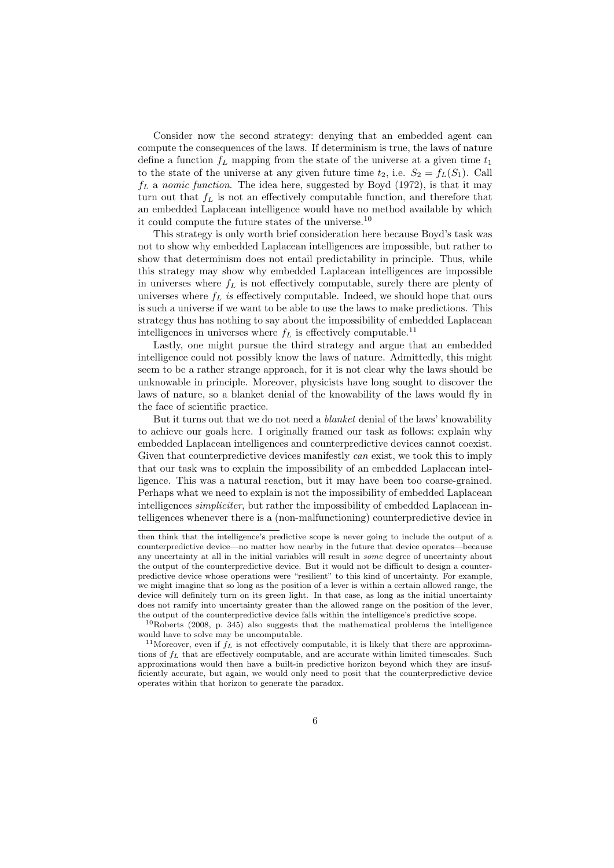Consider now the second strategy: denying that an embedded agent can compute the consequences of the laws. If determinism is true, the laws of nature define a function  $f<sub>L</sub>$  mapping from the state of the universe at a given time  $t<sub>1</sub>$ to the state of the universe at any given future time  $t_2$ , i.e.  $S_2 = f_L(S_1)$ . Call  $f_L$  a nomic function. The idea here, suggested by Boyd (1972), is that it may turn out that  $f<sub>L</sub>$  is not an effectively computable function, and therefore that an embedded Laplacean intelligence would have no method available by which it could compute the future states of the universe.<sup>10</sup>

This strategy is only worth brief consideration here because Boyd's task was not to show why embedded Laplacean intelligences are impossible, but rather to show that determinism does not entail predictability in principle. Thus, while this strategy may show why embedded Laplacean intelligences are impossible in universes where  $f_L$  is not effectively computable, surely there are plenty of universes where  $f_L$  is effectively computable. Indeed, we should hope that ours is such a universe if we want to be able to use the laws to make predictions. This strategy thus has nothing to say about the impossibility of embedded Laplacean intelligences in universes where  $f<sub>L</sub>$  is effectively computable.<sup>11</sup>

Lastly, one might pursue the third strategy and argue that an embedded intelligence could not possibly know the laws of nature. Admittedly, this might seem to be a rather strange approach, for it is not clear why the laws should be unknowable in principle. Moreover, physicists have long sought to discover the laws of nature, so a blanket denial of the knowability of the laws would fly in the face of scientific practice.

But it turns out that we do not need a *blanket* denial of the laws' knowability to achieve our goals here. I originally framed our task as follows: explain why embedded Laplacean intelligences and counterpredictive devices cannot coexist. Given that counterpredictive devices manifestly can exist, we took this to imply that our task was to explain the impossibility of an embedded Laplacean intelligence. This was a natural reaction, but it may have been too coarse-grained. Perhaps what we need to explain is not the impossibility of embedded Laplacean intelligences *simpliciter*, but rather the impossibility of embedded Laplacean intelligences whenever there is a (non-malfunctioning) counterpredictive device in

then think that the intelligence's predictive scope is never going to include the output of a counterpredictive device—no matter how nearby in the future that device operates—because any uncertainty at all in the initial variables will result in some degree of uncertainty about the output of the counterpredictive device. But it would not be difficult to design a counterpredictive device whose operations were "resilient" to this kind of uncertainty. For example, we might imagine that so long as the position of a lever is within a certain allowed range, the device will definitely turn on its green light. In that case, as long as the initial uncertainty does not ramify into uncertainty greater than the allowed range on the position of the lever, the output of the counterpredictive device falls within the intelligence's predictive scope.

 $10Roberts$  (2008, p. 345) also suggests that the mathematical problems the intelligence would have to solve may be uncomputable.

<sup>&</sup>lt;sup>11</sup>Moreover, even if  $f_L$  is not effectively computable, it is likely that there are approximations of  $f_L$  that are effectively computable, and are accurate within limited timescales. Such approximations would then have a built-in predictive horizon beyond which they are insufficiently accurate, but again, we would only need to posit that the counterpredictive device operates within that horizon to generate the paradox.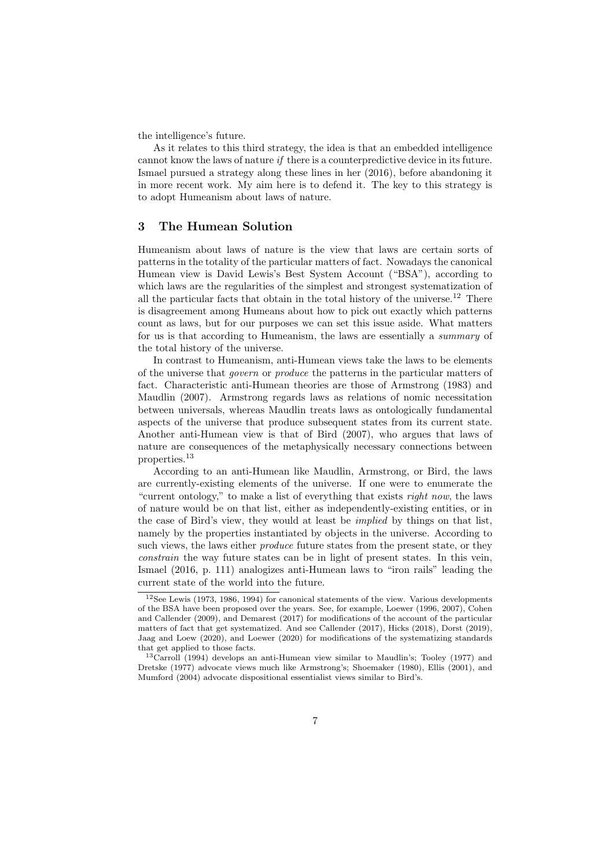the intelligence's future.

As it relates to this third strategy, the idea is that an embedded intelligence cannot know the laws of nature if there is a counterpredictive device in its future. Ismael pursued a strategy along these lines in her (2016), before abandoning it in more recent work. My aim here is to defend it. The key to this strategy is to adopt Humeanism about laws of nature.

# 3 The Humean Solution

Humeanism about laws of nature is the view that laws are certain sorts of patterns in the totality of the particular matters of fact. Nowadays the canonical Humean view is David Lewis's Best System Account ("BSA"), according to which laws are the regularities of the simplest and strongest systematization of all the particular facts that obtain in the total history of the universe.<sup>12</sup> There is disagreement among Humeans about how to pick out exactly which patterns count as laws, but for our purposes we can set this issue aside. What matters for us is that according to Humeanism, the laws are essentially a summary of the total history of the universe.

In contrast to Humeanism, anti-Humean views take the laws to be elements of the universe that govern or produce the patterns in the particular matters of fact. Characteristic anti-Humean theories are those of Armstrong (1983) and Maudlin (2007). Armstrong regards laws as relations of nomic necessitation between universals, whereas Maudlin treats laws as ontologically fundamental aspects of the universe that produce subsequent states from its current state. Another anti-Humean view is that of Bird (2007), who argues that laws of nature are consequences of the metaphysically necessary connections between properties.<sup>13</sup>

According to an anti-Humean like Maudlin, Armstrong, or Bird, the laws are currently-existing elements of the universe. If one were to enumerate the "current ontology," to make a list of everything that exists right now, the laws of nature would be on that list, either as independently-existing entities, or in the case of Bird's view, they would at least be implied by things on that list, namely by the properties instantiated by objects in the universe. According to such views, the laws either *produce* future states from the present state, or they constrain the way future states can be in light of present states. In this vein, Ismael (2016, p. 111) analogizes anti-Humean laws to "iron rails" leading the current state of the world into the future.

<sup>12</sup>See Lewis (1973, 1986, 1994) for canonical statements of the view. Various developments of the BSA have been proposed over the years. See, for example, Loewer (1996, 2007), Cohen and Callender (2009), and Demarest (2017) for modifications of the account of the particular matters of fact that get systematized. And see Callender (2017), Hicks (2018), Dorst (2019), Jaag and Loew (2020), and Loewer (2020) for modifications of the systematizing standards that get applied to those facts.

<sup>13</sup>Carroll (1994) develops an anti-Humean view similar to Maudlin's; Tooley (1977) and Dretske (1977) advocate views much like Armstrong's; Shoemaker (1980), Ellis (2001), and Mumford (2004) advocate dispositional essentialist views similar to Bird's.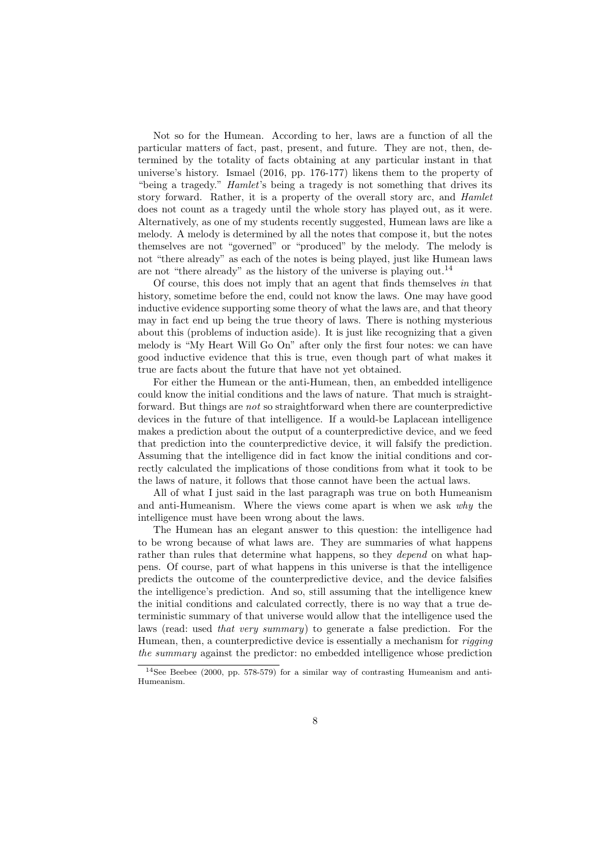Not so for the Humean. According to her, laws are a function of all the particular matters of fact, past, present, and future. They are not, then, determined by the totality of facts obtaining at any particular instant in that universe's history. Ismael (2016, pp. 176-177) likens them to the property of "being a tragedy." Hamlet's being a tragedy is not something that drives its story forward. Rather, it is a property of the overall story arc, and Hamlet does not count as a tragedy until the whole story has played out, as it were. Alternatively, as one of my students recently suggested, Humean laws are like a melody. A melody is determined by all the notes that compose it, but the notes themselves are not "governed" or "produced" by the melody. The melody is not "there already" as each of the notes is being played, just like Humean laws are not "there already" as the history of the universe is playing out.<sup>14</sup>

Of course, this does not imply that an agent that finds themselves in that history, sometime before the end, could not know the laws. One may have good inductive evidence supporting some theory of what the laws are, and that theory may in fact end up being the true theory of laws. There is nothing mysterious about this (problems of induction aside). It is just like recognizing that a given melody is "My Heart Will Go On" after only the first four notes: we can have good inductive evidence that this is true, even though part of what makes it true are facts about the future that have not yet obtained.

For either the Humean or the anti-Humean, then, an embedded intelligence could know the initial conditions and the laws of nature. That much is straightforward. But things are not so straightforward when there are counterpredictive devices in the future of that intelligence. If a would-be Laplacean intelligence makes a prediction about the output of a counterpredictive device, and we feed that prediction into the counterpredictive device, it will falsify the prediction. Assuming that the intelligence did in fact know the initial conditions and correctly calculated the implications of those conditions from what it took to be the laws of nature, it follows that those cannot have been the actual laws.

All of what I just said in the last paragraph was true on both Humeanism and anti-Humeanism. Where the views come apart is when we ask why the intelligence must have been wrong about the laws.

The Humean has an elegant answer to this question: the intelligence had to be wrong because of what laws are. They are summaries of what happens rather than rules that determine what happens, so they *depend* on what happens. Of course, part of what happens in this universe is that the intelligence predicts the outcome of the counterpredictive device, and the device falsifies the intelligence's prediction. And so, still assuming that the intelligence knew the initial conditions and calculated correctly, there is no way that a true deterministic summary of that universe would allow that the intelligence used the laws (read: used that very summary) to generate a false prediction. For the Humean, then, a counterpredictive device is essentially a mechanism for rigging the summary against the predictor: no embedded intelligence whose prediction

 $14$ See Beebee (2000, pp. 578-579) for a similar way of contrasting Humeanism and anti-Humeanism.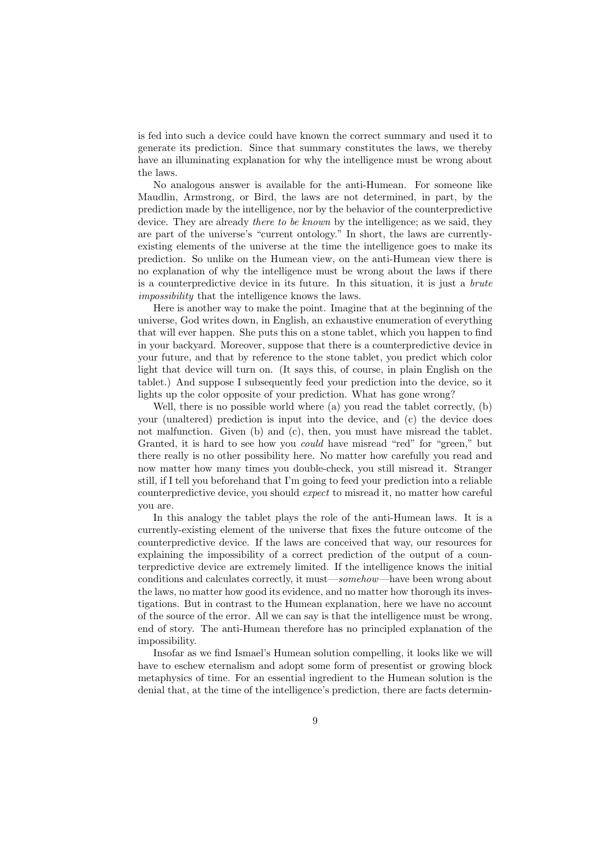is fed into such a device could have known the correct summary and used it to generate its prediction. Since that summary constitutes the laws, we thereby have an illuminating explanation for why the intelligence must be wrong about the laws.

No analogous answer is available for the anti-Humean. For someone like Maudlin, Armstrong, or Bird, the laws are not determined, in part, by the prediction made by the intelligence, nor by the behavior of the counterpredictive device. They are already *there to be known* by the intelligence; as we said, they are part of the universe's "current ontology." In short, the laws are currentlyexisting elements of the universe at the time the intelligence goes to make its prediction. So unlike on the Humean view, on the anti-Humean view there is no explanation of why the intelligence must be wrong about the laws if there is a counterpredictive device in its future. In this situation, it is just a brute impossibility that the intelligence knows the laws.

Here is another way to make the point. Imagine that at the beginning of the universe, God writes down, in English, an exhaustive enumeration of everything that will ever happen. She puts this on a stone tablet, which you happen to find in your backyard. Moreover, suppose that there is a counterpredictive device in your future, and that by reference to the stone tablet, you predict which color light that device will turn on. (It says this, of course, in plain English on the tablet.) And suppose I subsequently feed your prediction into the device, so it lights up the color opposite of your prediction. What has gone wrong?

Well, there is no possible world where (a) you read the tablet correctly, (b) your (unaltered) prediction is input into the device, and (c) the device does not malfunction. Given (b) and (c), then, you must have misread the tablet. Granted, it is hard to see how you could have misread "red" for "green," but there really is no other possibility here. No matter how carefully you read and now matter how many times you double-check, you still misread it. Stranger still, if I tell you beforehand that I'm going to feed your prediction into a reliable counterpredictive device, you should expect to misread it, no matter how careful you are.

In this analogy the tablet plays the role of the anti-Humean laws. It is a currently-existing element of the universe that fixes the future outcome of the counterpredictive device. If the laws are conceived that way, our resources for explaining the impossibility of a correct prediction of the output of a counterpredictive device are extremely limited. If the intelligence knows the initial conditions and calculates correctly, it must—somehow—have been wrong about the laws, no matter how good its evidence, and no matter how thorough its investigations. But in contrast to the Humean explanation, here we have no account of the source of the error. All we can say is that the intelligence must be wrong, end of story. The anti-Humean therefore has no principled explanation of the impossibility.

Insofar as we find Ismael's Humean solution compelling, it looks like we will have to eschew eternalism and adopt some form of presentist or growing block metaphysics of time. For an essential ingredient to the Humean solution is the denial that, at the time of the intelligence's prediction, there are facts determin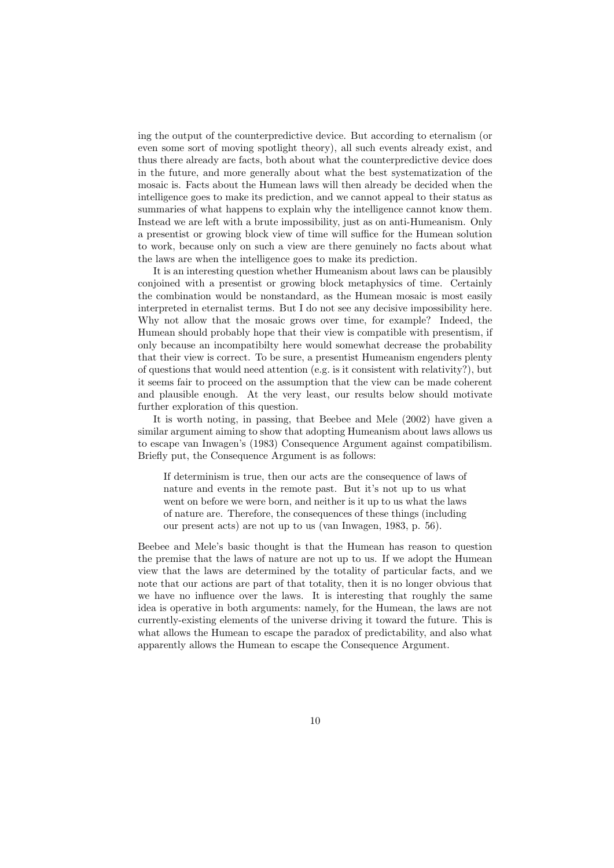ing the output of the counterpredictive device. But according to eternalism (or even some sort of moving spotlight theory), all such events already exist, and thus there already are facts, both about what the counterpredictive device does in the future, and more generally about what the best systematization of the mosaic is. Facts about the Humean laws will then already be decided when the intelligence goes to make its prediction, and we cannot appeal to their status as summaries of what happens to explain why the intelligence cannot know them. Instead we are left with a brute impossibility, just as on anti-Humeanism. Only a presentist or growing block view of time will suffice for the Humean solution to work, because only on such a view are there genuinely no facts about what the laws are when the intelligence goes to make its prediction.

It is an interesting question whether Humeanism about laws can be plausibly conjoined with a presentist or growing block metaphysics of time. Certainly the combination would be nonstandard, as the Humean mosaic is most easily interpreted in eternalist terms. But I do not see any decisive impossibility here. Why not allow that the mosaic grows over time, for example? Indeed, the Humean should probably hope that their view is compatible with presentism, if only because an incompatibilty here would somewhat decrease the probability that their view is correct. To be sure, a presentist Humeanism engenders plenty of questions that would need attention (e.g. is it consistent with relativity?), but it seems fair to proceed on the assumption that the view can be made coherent and plausible enough. At the very least, our results below should motivate further exploration of this question.

It is worth noting, in passing, that Beebee and Mele (2002) have given a similar argument aiming to show that adopting Humeanism about laws allows us to escape van Inwagen's (1983) Consequence Argument against compatibilism. Briefly put, the Consequence Argument is as follows:

If determinism is true, then our acts are the consequence of laws of nature and events in the remote past. But it's not up to us what went on before we were born, and neither is it up to us what the laws of nature are. Therefore, the consequences of these things (including our present acts) are not up to us (van Inwagen, 1983, p. 56).

Beebee and Mele's basic thought is that the Humean has reason to question the premise that the laws of nature are not up to us. If we adopt the Humean view that the laws are determined by the totality of particular facts, and we note that our actions are part of that totality, then it is no longer obvious that we have no influence over the laws. It is interesting that roughly the same idea is operative in both arguments: namely, for the Humean, the laws are not currently-existing elements of the universe driving it toward the future. This is what allows the Humean to escape the paradox of predictability, and also what apparently allows the Humean to escape the Consequence Argument.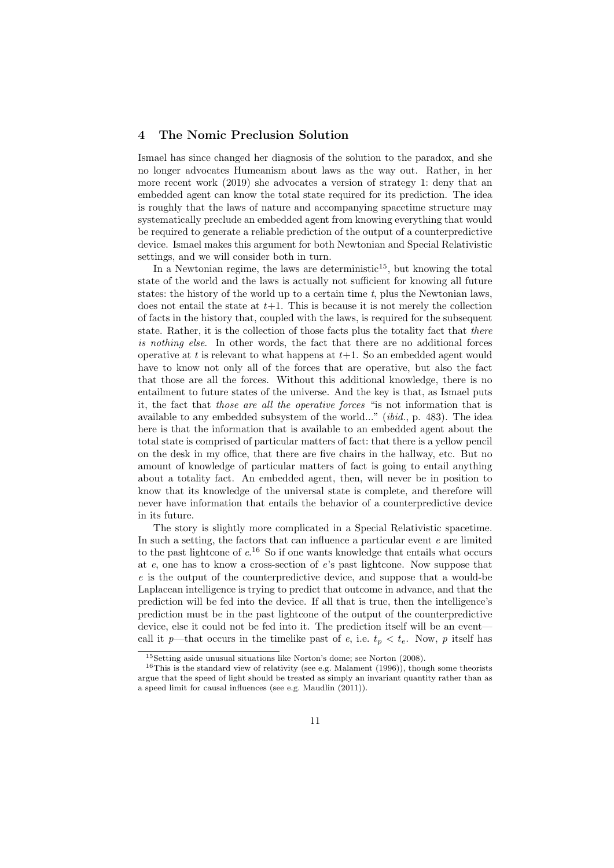## 4 The Nomic Preclusion Solution

Ismael has since changed her diagnosis of the solution to the paradox, and she no longer advocates Humeanism about laws as the way out. Rather, in her more recent work (2019) she advocates a version of strategy 1: deny that an embedded agent can know the total state required for its prediction. The idea is roughly that the laws of nature and accompanying spacetime structure may systematically preclude an embedded agent from knowing everything that would be required to generate a reliable prediction of the output of a counterpredictive device. Ismael makes this argument for both Newtonian and Special Relativistic settings, and we will consider both in turn.

In a Newtonian regime, the laws are deterministic<sup>15</sup>, but knowing the total state of the world and the laws is actually not sufficient for knowing all future states: the history of the world up to a certain time  $t$ , plus the Newtonian laws, does not entail the state at  $t+1$ . This is because it is not merely the collection of facts in the history that, coupled with the laws, is required for the subsequent state. Rather, it is the collection of those facts plus the totality fact that there is nothing else. In other words, the fact that there are no additional forces operative at t is relevant to what happens at  $t+1$ . So an embedded agent would have to know not only all of the forces that are operative, but also the fact that those are all the forces. Without this additional knowledge, there is no entailment to future states of the universe. And the key is that, as Ismael puts it, the fact that those are all the operative forces "is not information that is available to any embedded subsystem of the world..." (ibid., p. 483). The idea here is that the information that is available to an embedded agent about the total state is comprised of particular matters of fact: that there is a yellow pencil on the desk in my office, that there are five chairs in the hallway, etc. But no amount of knowledge of particular matters of fact is going to entail anything about a totality fact. An embedded agent, then, will never be in position to know that its knowledge of the universal state is complete, and therefore will never have information that entails the behavior of a counterpredictive device in its future.

The story is slightly more complicated in a Special Relativistic spacetime. In such a setting, the factors that can influence a particular event  $e$  are limited to the past lightcone of  $e^{16}$ . So if one wants knowledge that entails what occurs at e, one has to know a cross-section of e's past lightcone. Now suppose that e is the output of the counterpredictive device, and suppose that a would-be Laplacean intelligence is trying to predict that outcome in advance, and that the prediction will be fed into the device. If all that is true, then the intelligence's prediction must be in the past lightcone of the output of the counterpredictive device, else it could not be fed into it. The prediction itself will be an event call it p—that occurs in the timelike past of e, i.e.  $t_p < t_e$ . Now, p itself has

<sup>15</sup>Setting aside unusual situations like Norton's dome; see Norton (2008).

<sup>&</sup>lt;sup>16</sup>This is the standard view of relativity (see e.g. Malament  $(1996)$ ), though some theorists argue that the speed of light should be treated as simply an invariant quantity rather than as a speed limit for causal influences (see e.g. Maudlin (2011)).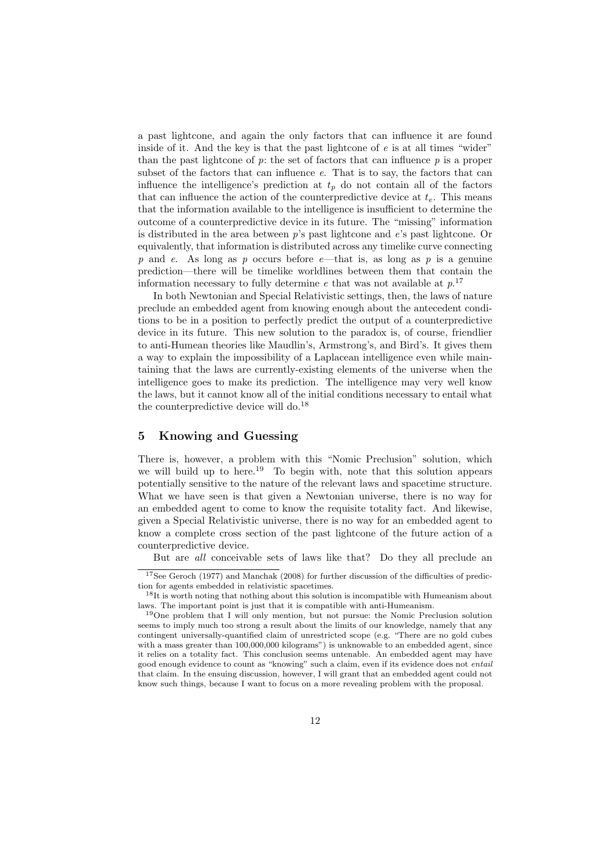a past lightcone, and again the only factors that can influence it are found inside of it. And the key is that the past lightcone of  $e$  is at all times "wider" than the past lightcone of  $p$ : the set of factors that can influence  $p$  is a proper subset of the factors that can influence e. That is to say, the factors that can influence the intelligence's prediction at  $t_p$  do not contain all of the factors that can influence the action of the counterpredictive device at  $t<sub>e</sub>$ . This means that the information available to the intelligence is insufficient to determine the outcome of a counterpredictive device in its future. The "missing" information is distributed in the area between p's past lightcone and e's past lightcone. Or equivalently, that information is distributed across any timelike curve connecting p and e. As long as p occurs before e—that is, as long as p is a genuine prediction—there will be timelike worldlines between them that contain the information necessary to fully determine  $e$  that was not available at  $p$ <sup>17</sup>

In both Newtonian and Special Relativistic settings, then, the laws of nature preclude an embedded agent from knowing enough about the antecedent conditions to be in a position to perfectly predict the output of a counterpredictive device in its future. This new solution to the paradox is, of course, friendlier to anti-Humean theories like Maudlin's, Armstrong's, and Bird's. It gives them a way to explain the impossibility of a Laplacean intelligence even while maintaining that the laws are currently-existing elements of the universe when the intelligence goes to make its prediction. The intelligence may very well know the laws, but it cannot know all of the initial conditions necessary to entail what the counterpredictive device will do.<sup>18</sup>

# 5 Knowing and Guessing

There is, however, a problem with this "Nomic Preclusion" solution, which we will build up to here.<sup>19</sup> To begin with, note that this solution appears potentially sensitive to the nature of the relevant laws and spacetime structure. What we have seen is that given a Newtonian universe, there is no way for an embedded agent to come to know the requisite totality fact. And likewise, given a Special Relativistic universe, there is no way for an embedded agent to know a complete cross section of the past lightcone of the future action of a counterpredictive device.

But are all conceivable sets of laws like that? Do they all preclude an

<sup>17</sup>See Geroch (1977) and Manchak (2008) for further discussion of the difficulties of prediction for agents embedded in relativistic spacetimes.

<sup>&</sup>lt;sup>18</sup>It is worth noting that nothing about this solution is incompatible with Humeanism about laws. The important point is just that it is compatible with anti-Humeanism.

<sup>19</sup>One problem that I will only mention, but not pursue: the Nomic Preclusion solution seems to imply much too strong a result about the limits of our knowledge, namely that any contingent universally-quantified claim of unrestricted scope (e.g. "There are no gold cubes with a mass greater than 100,000,000 kilograms") is unknowable to an embedded agent, since it relies on a totality fact. This conclusion seems untenable. An embedded agent may have good enough evidence to count as "knowing" such a claim, even if its evidence does not entail that claim. In the ensuing discussion, however, I will grant that an embedded agent could not know such things, because I want to focus on a more revealing problem with the proposal.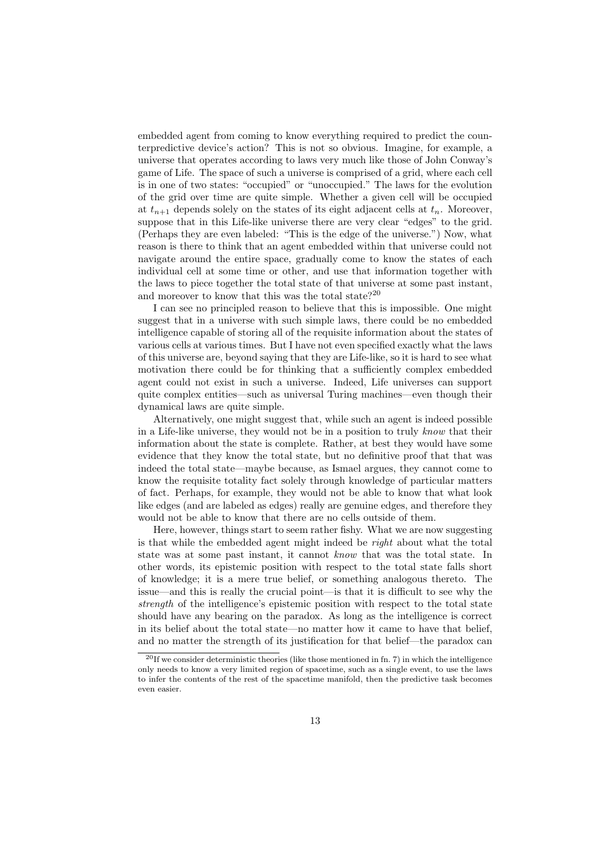embedded agent from coming to know everything required to predict the counterpredictive device's action? This is not so obvious. Imagine, for example, a universe that operates according to laws very much like those of John Conway's game of Life. The space of such a universe is comprised of a grid, where each cell is in one of two states: "occupied" or "unoccupied." The laws for the evolution of the grid over time are quite simple. Whether a given cell will be occupied at  $t_{n+1}$  depends solely on the states of its eight adjacent cells at  $t_n$ . Moreover, suppose that in this Life-like universe there are very clear "edges" to the grid. (Perhaps they are even labeled: "This is the edge of the universe.") Now, what reason is there to think that an agent embedded within that universe could not navigate around the entire space, gradually come to know the states of each individual cell at some time or other, and use that information together with the laws to piece together the total state of that universe at some past instant, and moreover to know that this was the total state?<sup>20</sup>

I can see no principled reason to believe that this is impossible. One might suggest that in a universe with such simple laws, there could be no embedded intelligence capable of storing all of the requisite information about the states of various cells at various times. But I have not even specified exactly what the laws of this universe are, beyond saying that they are Life-like, so it is hard to see what motivation there could be for thinking that a sufficiently complex embedded agent could not exist in such a universe. Indeed, Life universes can support quite complex entities—such as universal Turing machines—even though their dynamical laws are quite simple.

Alternatively, one might suggest that, while such an agent is indeed possible in a Life-like universe, they would not be in a position to truly know that their information about the state is complete. Rather, at best they would have some evidence that they know the total state, but no definitive proof that that was indeed the total state—maybe because, as Ismael argues, they cannot come to know the requisite totality fact solely through knowledge of particular matters of fact. Perhaps, for example, they would not be able to know that what look like edges (and are labeled as edges) really are genuine edges, and therefore they would not be able to know that there are no cells outside of them.

Here, however, things start to seem rather fishy. What we are now suggesting is that while the embedded agent might indeed be *right* about what the total state was at some past instant, it cannot know that was the total state. In other words, its epistemic position with respect to the total state falls short of knowledge; it is a mere true belief, or something analogous thereto. The issue—and this is really the crucial point—is that it is difficult to see why the strength of the intelligence's epistemic position with respect to the total state should have any bearing on the paradox. As long as the intelligence is correct in its belief about the total state—no matter how it came to have that belief, and no matter the strength of its justification for that belief—the paradox can

 $^{20}$ If we consider deterministic theories (like those mentioned in fn. 7) in which the intelligence only needs to know a very limited region of spacetime, such as a single event, to use the laws to infer the contents of the rest of the spacetime manifold, then the predictive task becomes even easier.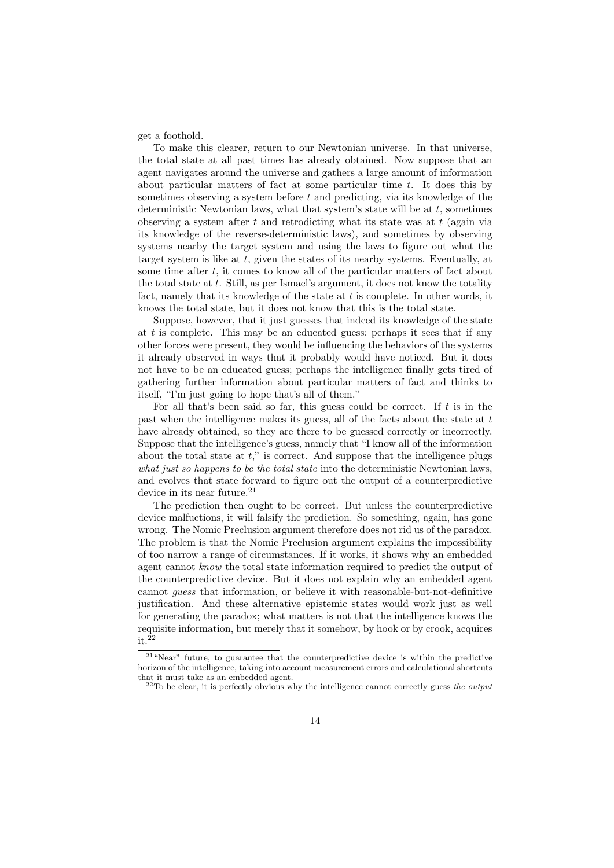get a foothold.

To make this clearer, return to our Newtonian universe. In that universe, the total state at all past times has already obtained. Now suppose that an agent navigates around the universe and gathers a large amount of information about particular matters of fact at some particular time  $t$ . It does this by sometimes observing a system before  $t$  and predicting, via its knowledge of the deterministic Newtonian laws, what that system's state will be at  $t$ , sometimes observing a system after t and retrodicting what its state was at  $t$  (again via its knowledge of the reverse-deterministic laws), and sometimes by observing systems nearby the target system and using the laws to figure out what the target system is like at t, given the states of its nearby systems. Eventually, at some time after  $t$ , it comes to know all of the particular matters of fact about the total state at  $t$ . Still, as per Ismael's argument, it does not know the totality fact, namely that its knowledge of the state at  $t$  is complete. In other words, it knows the total state, but it does not know that this is the total state.

Suppose, however, that it just guesses that indeed its knowledge of the state at  $t$  is complete. This may be an educated guess: perhaps it sees that if any other forces were present, they would be influencing the behaviors of the systems it already observed in ways that it probably would have noticed. But it does not have to be an educated guess; perhaps the intelligence finally gets tired of gathering further information about particular matters of fact and thinks to itself, "I'm just going to hope that's all of them."

For all that's been said so far, this guess could be correct. If  $t$  is in the past when the intelligence makes its guess, all of the facts about the state at  $t$ have already obtained, so they are there to be guessed correctly or incorrectly. Suppose that the intelligence's guess, namely that "I know all of the information about the total state at  $t$ ," is correct. And suppose that the intelligence plugs what just so happens to be the total state into the deterministic Newtonian laws, and evolves that state forward to figure out the output of a counterpredictive device in its near future.<sup>21</sup>

The prediction then ought to be correct. But unless the counterpredictive device malfuctions, it will falsify the prediction. So something, again, has gone wrong. The Nomic Preclusion argument therefore does not rid us of the paradox. The problem is that the Nomic Preclusion argument explains the impossibility of too narrow a range of circumstances. If it works, it shows why an embedded agent cannot know the total state information required to predict the output of the counterpredictive device. But it does not explain why an embedded agent cannot guess that information, or believe it with reasonable-but-not-definitive justification. And these alternative epistemic states would work just as well for generating the paradox; what matters is not that the intelligence knows the requisite information, but merely that it somehow, by hook or by crook, acquires it.<sup>22</sup>

 $21$  "Near" future, to guarantee that the counterpredictive device is within the predictive horizon of the intelligence, taking into account measurement errors and calculational shortcuts that it must take as an embedded agent.

 $^{22}$ To be clear, it is perfectly obvious why the intelligence cannot correctly guess the *output*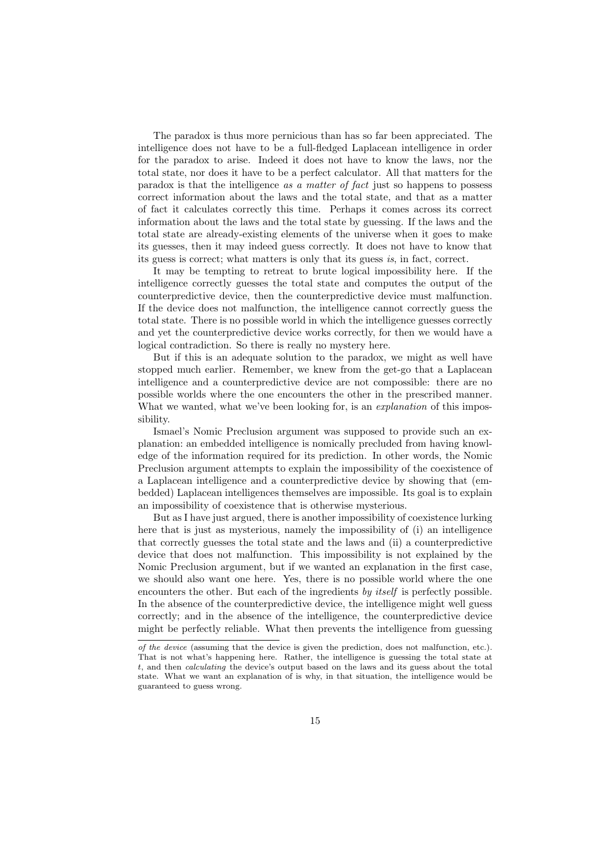The paradox is thus more pernicious than has so far been appreciated. The intelligence does not have to be a full-fledged Laplacean intelligence in order for the paradox to arise. Indeed it does not have to know the laws, nor the total state, nor does it have to be a perfect calculator. All that matters for the paradox is that the intelligence as a matter of fact just so happens to possess correct information about the laws and the total state, and that as a matter of fact it calculates correctly this time. Perhaps it comes across its correct information about the laws and the total state by guessing. If the laws and the total state are already-existing elements of the universe when it goes to make its guesses, then it may indeed guess correctly. It does not have to know that its guess is correct; what matters is only that its guess is, in fact, correct.

It may be tempting to retreat to brute logical impossibility here. If the intelligence correctly guesses the total state and computes the output of the counterpredictive device, then the counterpredictive device must malfunction. If the device does not malfunction, the intelligence cannot correctly guess the total state. There is no possible world in which the intelligence guesses correctly and yet the counterpredictive device works correctly, for then we would have a logical contradiction. So there is really no mystery here.

But if this is an adequate solution to the paradox, we might as well have stopped much earlier. Remember, we knew from the get-go that a Laplacean intelligence and a counterpredictive device are not compossible: there are no possible worlds where the one encounters the other in the prescribed manner. What we wanted, what we've been looking for, is an *explanation* of this impossibility.

Ismael's Nomic Preclusion argument was supposed to provide such an explanation: an embedded intelligence is nomically precluded from having knowledge of the information required for its prediction. In other words, the Nomic Preclusion argument attempts to explain the impossibility of the coexistence of a Laplacean intelligence and a counterpredictive device by showing that (embedded) Laplacean intelligences themselves are impossible. Its goal is to explain an impossibility of coexistence that is otherwise mysterious.

But as I have just argued, there is another impossibility of coexistence lurking here that is just as mysterious, namely the impossibility of (i) an intelligence that correctly guesses the total state and the laws and (ii) a counterpredictive device that does not malfunction. This impossibility is not explained by the Nomic Preclusion argument, but if we wanted an explanation in the first case, we should also want one here. Yes, there is no possible world where the one encounters the other. But each of the ingredients by itself is perfectly possible. In the absence of the counterpredictive device, the intelligence might well guess correctly; and in the absence of the intelligence, the counterpredictive device might be perfectly reliable. What then prevents the intelligence from guessing

of the device (assuming that the device is given the prediction, does not malfunction, etc.). That is not what's happening here. Rather, the intelligence is guessing the total state at t, and then calculating the device's output based on the laws and its guess about the total state. What we want an explanation of is why, in that situation, the intelligence would be guaranteed to guess wrong.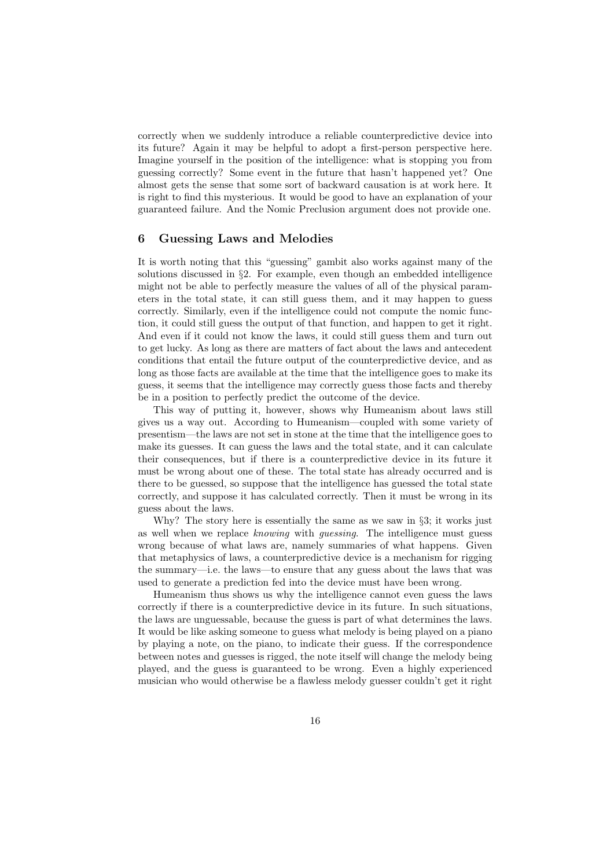correctly when we suddenly introduce a reliable counterpredictive device into its future? Again it may be helpful to adopt a first-person perspective here. Imagine yourself in the position of the intelligence: what is stopping you from guessing correctly? Some event in the future that hasn't happened yet? One almost gets the sense that some sort of backward causation is at work here. It is right to find this mysterious. It would be good to have an explanation of your guaranteed failure. And the Nomic Preclusion argument does not provide one.

## 6 Guessing Laws and Melodies

It is worth noting that this "guessing" gambit also works against many of the solutions discussed in §2. For example, even though an embedded intelligence might not be able to perfectly measure the values of all of the physical parameters in the total state, it can still guess them, and it may happen to guess correctly. Similarly, even if the intelligence could not compute the nomic function, it could still guess the output of that function, and happen to get it right. And even if it could not know the laws, it could still guess them and turn out to get lucky. As long as there are matters of fact about the laws and antecedent conditions that entail the future output of the counterpredictive device, and as long as those facts are available at the time that the intelligence goes to make its guess, it seems that the intelligence may correctly guess those facts and thereby be in a position to perfectly predict the outcome of the device.

This way of putting it, however, shows why Humeanism about laws still gives us a way out. According to Humeanism—coupled with some variety of presentism—the laws are not set in stone at the time that the intelligence goes to make its guesses. It can guess the laws and the total state, and it can calculate their consequences, but if there is a counterpredictive device in its future it must be wrong about one of these. The total state has already occurred and is there to be guessed, so suppose that the intelligence has guessed the total state correctly, and suppose it has calculated correctly. Then it must be wrong in its guess about the laws.

Why? The story here is essentially the same as we saw in  $\S 3$ ; it works just as well when we replace knowing with guessing. The intelligence must guess wrong because of what laws are, namely summaries of what happens. Given that metaphysics of laws, a counterpredictive device is a mechanism for rigging the summary—i.e. the laws—to ensure that any guess about the laws that was used to generate a prediction fed into the device must have been wrong.

Humeanism thus shows us why the intelligence cannot even guess the laws correctly if there is a counterpredictive device in its future. In such situations, the laws are unguessable, because the guess is part of what determines the laws. It would be like asking someone to guess what melody is being played on a piano by playing a note, on the piano, to indicate their guess. If the correspondence between notes and guesses is rigged, the note itself will change the melody being played, and the guess is guaranteed to be wrong. Even a highly experienced musician who would otherwise be a flawless melody guesser couldn't get it right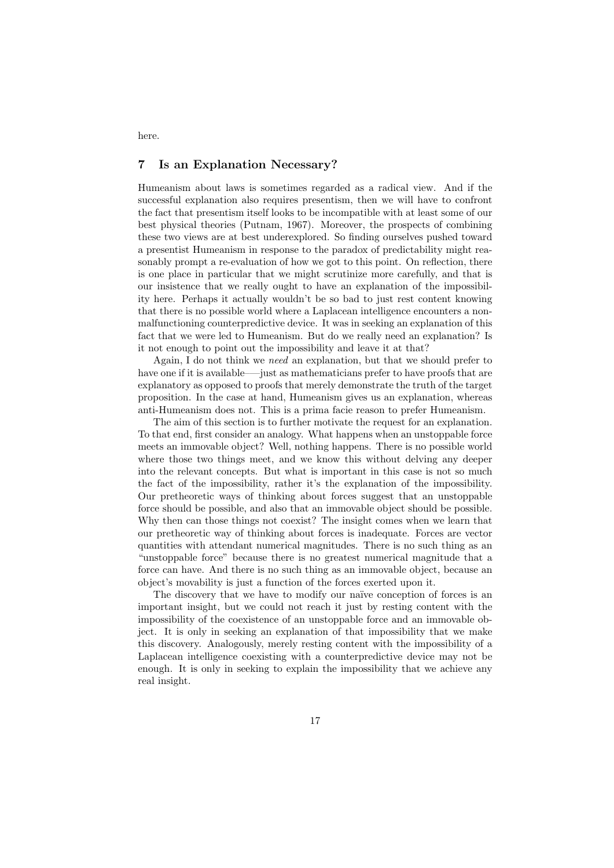# 7 Is an Explanation Necessary?

Humeanism about laws is sometimes regarded as a radical view. And if the successful explanation also requires presentism, then we will have to confront the fact that presentism itself looks to be incompatible with at least some of our best physical theories (Putnam, 1967). Moreover, the prospects of combining these two views are at best underexplored. So finding ourselves pushed toward a presentist Humeanism in response to the paradox of predictability might reasonably prompt a re-evaluation of how we got to this point. On reflection, there is one place in particular that we might scrutinize more carefully, and that is our insistence that we really ought to have an explanation of the impossibility here. Perhaps it actually wouldn't be so bad to just rest content knowing that there is no possible world where a Laplacean intelligence encounters a nonmalfunctioning counterpredictive device. It was in seeking an explanation of this fact that we were led to Humeanism. But do we really need an explanation? Is it not enough to point out the impossibility and leave it at that?

Again, I do not think we need an explanation, but that we should prefer to have one if it is available—–just as mathematicians prefer to have proofs that are explanatory as opposed to proofs that merely demonstrate the truth of the target proposition. In the case at hand, Humeanism gives us an explanation, whereas anti-Humeanism does not. This is a prima facie reason to prefer Humeanism.

The aim of this section is to further motivate the request for an explanation. To that end, first consider an analogy. What happens when an unstoppable force meets an immovable object? Well, nothing happens. There is no possible world where those two things meet, and we know this without delving any deeper into the relevant concepts. But what is important in this case is not so much the fact of the impossibility, rather it's the explanation of the impossibility. Our pretheoretic ways of thinking about forces suggest that an unstoppable force should be possible, and also that an immovable object should be possible. Why then can those things not coexist? The insight comes when we learn that our pretheoretic way of thinking about forces is inadequate. Forces are vector quantities with attendant numerical magnitudes. There is no such thing as an "unstoppable force" because there is no greatest numerical magnitude that a force can have. And there is no such thing as an immovable object, because an object's movability is just a function of the forces exerted upon it.

The discovery that we have to modify our naïve conception of forces is an important insight, but we could not reach it just by resting content with the impossibility of the coexistence of an unstoppable force and an immovable object. It is only in seeking an explanation of that impossibility that we make this discovery. Analogously, merely resting content with the impossibility of a Laplacean intelligence coexisting with a counterpredictive device may not be enough. It is only in seeking to explain the impossibility that we achieve any real insight.

here.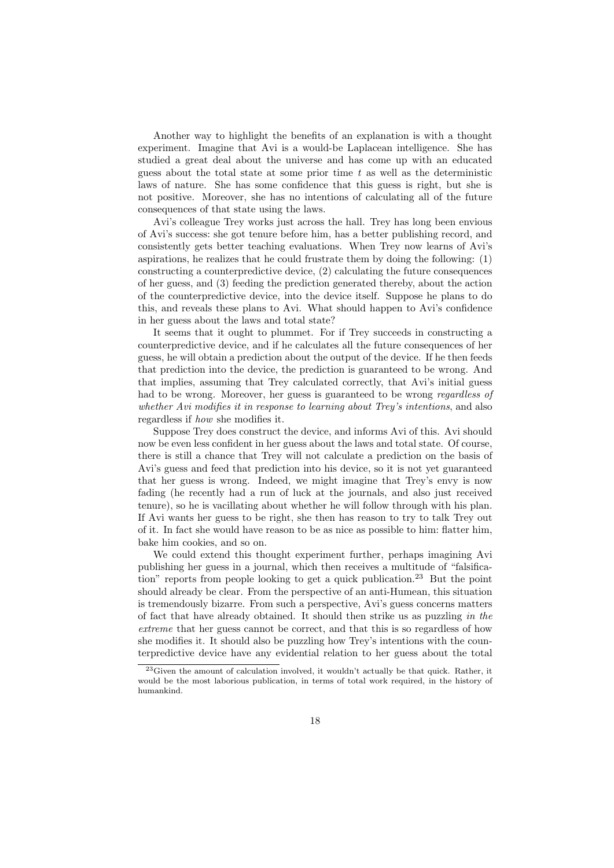Another way to highlight the benefits of an explanation is with a thought experiment. Imagine that Avi is a would-be Laplacean intelligence. She has studied a great deal about the universe and has come up with an educated guess about the total state at some prior time  $t$  as well as the deterministic laws of nature. She has some confidence that this guess is right, but she is not positive. Moreover, she has no intentions of calculating all of the future consequences of that state using the laws.

Avi's colleague Trey works just across the hall. Trey has long been envious of Avi's success: she got tenure before him, has a better publishing record, and consistently gets better teaching evaluations. When Trey now learns of Avi's aspirations, he realizes that he could frustrate them by doing the following: (1) constructing a counterpredictive device, (2) calculating the future consequences of her guess, and (3) feeding the prediction generated thereby, about the action of the counterpredictive device, into the device itself. Suppose he plans to do this, and reveals these plans to Avi. What should happen to Avi's confidence in her guess about the laws and total state?

It seems that it ought to plummet. For if Trey succeeds in constructing a counterpredictive device, and if he calculates all the future consequences of her guess, he will obtain a prediction about the output of the device. If he then feeds that prediction into the device, the prediction is guaranteed to be wrong. And that implies, assuming that Trey calculated correctly, that Avi's initial guess had to be wrong. Moreover, her guess is guaranteed to be wrong regardless of whether Avi modifies it in response to learning about Trey's intentions, and also regardless if how she modifies it.

Suppose Trey does construct the device, and informs Avi of this. Avi should now be even less confident in her guess about the laws and total state. Of course, there is still a chance that Trey will not calculate a prediction on the basis of Avi's guess and feed that prediction into his device, so it is not yet guaranteed that her guess is wrong. Indeed, we might imagine that Trey's envy is now fading (he recently had a run of luck at the journals, and also just received tenure), so he is vacillating about whether he will follow through with his plan. If Avi wants her guess to be right, she then has reason to try to talk Trey out of it. In fact she would have reason to be as nice as possible to him: flatter him, bake him cookies, and so on.

We could extend this thought experiment further, perhaps imagining Avi publishing her guess in a journal, which then receives a multitude of "falsification" reports from people looking to get a quick publication.<sup>23</sup> But the point should already be clear. From the perspective of an anti-Humean, this situation is tremendously bizarre. From such a perspective, Avi's guess concerns matters of fact that have already obtained. It should then strike us as puzzling in the extreme that her guess cannot be correct, and that this is so regardless of how she modifies it. It should also be puzzling how Trey's intentions with the counterpredictive device have any evidential relation to her guess about the total

 $23$ Given the amount of calculation involved, it wouldn't actually be that quick. Rather, it would be the most laborious publication, in terms of total work required, in the history of humankind.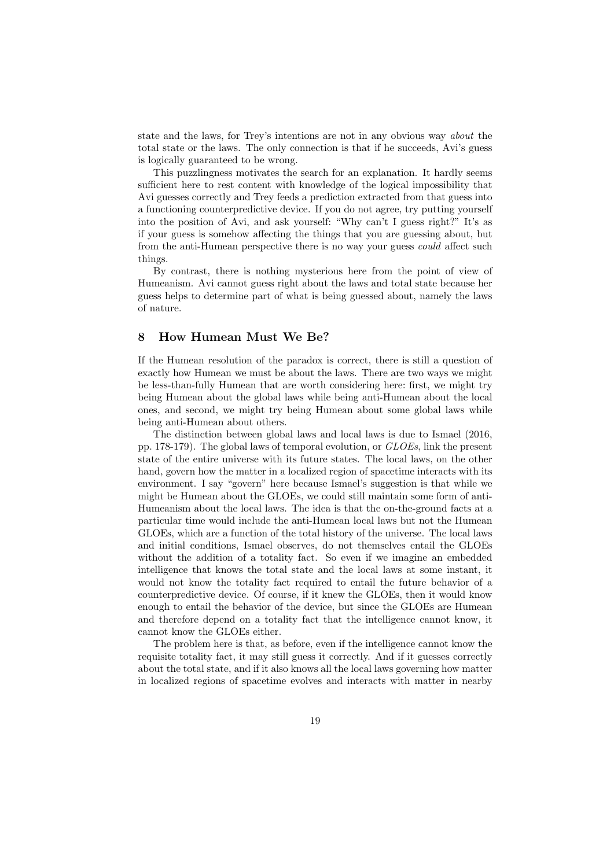state and the laws, for Trey's intentions are not in any obvious way about the total state or the laws. The only connection is that if he succeeds, Avi's guess is logically guaranteed to be wrong.

This puzzlingness motivates the search for an explanation. It hardly seems sufficient here to rest content with knowledge of the logical impossibility that Avi guesses correctly and Trey feeds a prediction extracted from that guess into a functioning counterpredictive device. If you do not agree, try putting yourself into the position of Avi, and ask yourself: "Why can't I guess right?" It's as if your guess is somehow affecting the things that you are guessing about, but from the anti-Humean perspective there is no way your guess could affect such things.

By contrast, there is nothing mysterious here from the point of view of Humeanism. Avi cannot guess right about the laws and total state because her guess helps to determine part of what is being guessed about, namely the laws of nature.

# 8 How Humean Must We Be?

If the Humean resolution of the paradox is correct, there is still a question of exactly how Humean we must be about the laws. There are two ways we might be less-than-fully Humean that are worth considering here: first, we might try being Humean about the global laws while being anti-Humean about the local ones, and second, we might try being Humean about some global laws while being anti-Humean about others.

The distinction between global laws and local laws is due to Ismael (2016, pp. 178-179). The global laws of temporal evolution, or GLOEs, link the present state of the entire universe with its future states. The local laws, on the other hand, govern how the matter in a localized region of spacetime interacts with its environment. I say "govern" here because Ismael's suggestion is that while we might be Humean about the GLOEs, we could still maintain some form of anti-Humeanism about the local laws. The idea is that the on-the-ground facts at a particular time would include the anti-Humean local laws but not the Humean GLOEs, which are a function of the total history of the universe. The local laws and initial conditions, Ismael observes, do not themselves entail the GLOEs without the addition of a totality fact. So even if we imagine an embedded intelligence that knows the total state and the local laws at some instant, it would not know the totality fact required to entail the future behavior of a counterpredictive device. Of course, if it knew the GLOEs, then it would know enough to entail the behavior of the device, but since the GLOEs are Humean and therefore depend on a totality fact that the intelligence cannot know, it cannot know the GLOEs either.

The problem here is that, as before, even if the intelligence cannot know the requisite totality fact, it may still guess it correctly. And if it guesses correctly about the total state, and if it also knows all the local laws governing how matter in localized regions of spacetime evolves and interacts with matter in nearby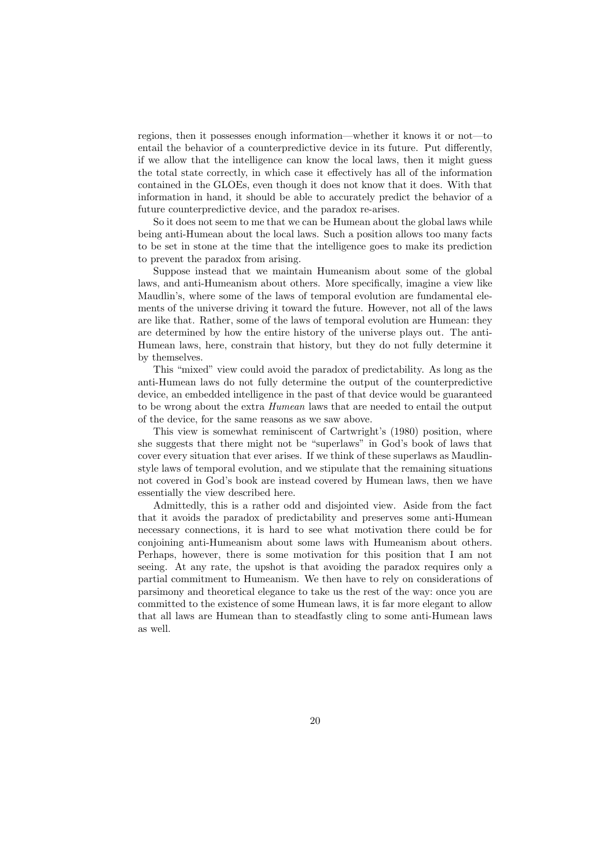regions, then it possesses enough information—whether it knows it or not—to entail the behavior of a counterpredictive device in its future. Put differently, if we allow that the intelligence can know the local laws, then it might guess the total state correctly, in which case it effectively has all of the information contained in the GLOEs, even though it does not know that it does. With that information in hand, it should be able to accurately predict the behavior of a future counterpredictive device, and the paradox re-arises.

So it does not seem to me that we can be Humean about the global laws while being anti-Humean about the local laws. Such a position allows too many facts to be set in stone at the time that the intelligence goes to make its prediction to prevent the paradox from arising.

Suppose instead that we maintain Humeanism about some of the global laws, and anti-Humeanism about others. More specifically, imagine a view like Maudlin's, where some of the laws of temporal evolution are fundamental elements of the universe driving it toward the future. However, not all of the laws are like that. Rather, some of the laws of temporal evolution are Humean: they are determined by how the entire history of the universe plays out. The anti-Humean laws, here, constrain that history, but they do not fully determine it by themselves.

This "mixed" view could avoid the paradox of predictability. As long as the anti-Humean laws do not fully determine the output of the counterpredictive device, an embedded intelligence in the past of that device would be guaranteed to be wrong about the extra Humean laws that are needed to entail the output of the device, for the same reasons as we saw above.

This view is somewhat reminiscent of Cartwright's (1980) position, where she suggests that there might not be "superlaws" in God's book of laws that cover every situation that ever arises. If we think of these superlaws as Maudlinstyle laws of temporal evolution, and we stipulate that the remaining situations not covered in God's book are instead covered by Humean laws, then we have essentially the view described here.

Admittedly, this is a rather odd and disjointed view. Aside from the fact that it avoids the paradox of predictability and preserves some anti-Humean necessary connections, it is hard to see what motivation there could be for conjoining anti-Humeanism about some laws with Humeanism about others. Perhaps, however, there is some motivation for this position that I am not seeing. At any rate, the upshot is that avoiding the paradox requires only a partial commitment to Humeanism. We then have to rely on considerations of parsimony and theoretical elegance to take us the rest of the way: once you are committed to the existence of some Humean laws, it is far more elegant to allow that all laws are Humean than to steadfastly cling to some anti-Humean laws as well.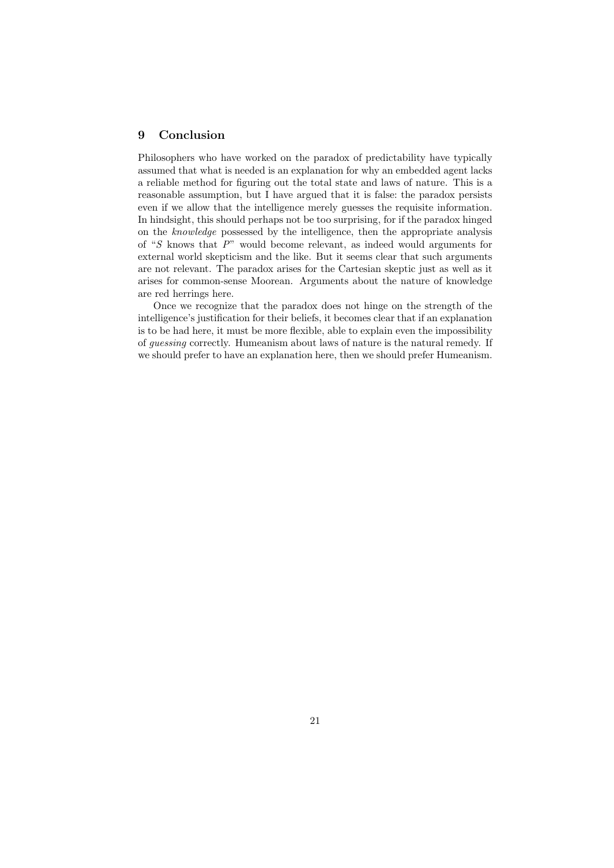# 9 Conclusion

Philosophers who have worked on the paradox of predictability have typically assumed that what is needed is an explanation for why an embedded agent lacks a reliable method for figuring out the total state and laws of nature. This is a reasonable assumption, but I have argued that it is false: the paradox persists even if we allow that the intelligence merely guesses the requisite information. In hindsight, this should perhaps not be too surprising, for if the paradox hinged on the knowledge possessed by the intelligence, then the appropriate analysis of "S knows that P" would become relevant, as indeed would arguments for external world skepticism and the like. But it seems clear that such arguments are not relevant. The paradox arises for the Cartesian skeptic just as well as it arises for common-sense Moorean. Arguments about the nature of knowledge are red herrings here.

Once we recognize that the paradox does not hinge on the strength of the intelligence's justification for their beliefs, it becomes clear that if an explanation is to be had here, it must be more flexible, able to explain even the impossibility of guessing correctly. Humeanism about laws of nature is the natural remedy. If we should prefer to have an explanation here, then we should prefer Humeanism.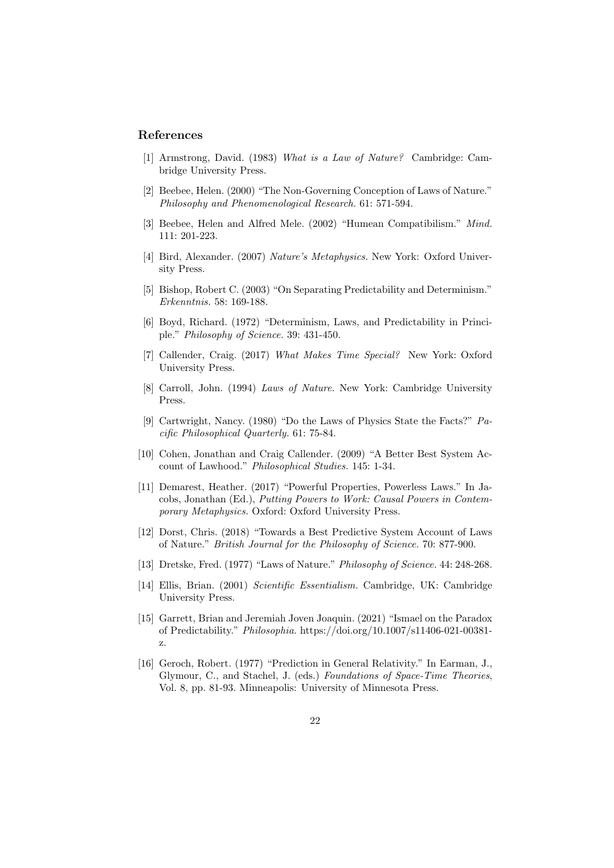## References

- [1] Armstrong, David. (1983) What is a Law of Nature? Cambridge: Cambridge University Press.
- [2] Beebee, Helen. (2000) "The Non-Governing Conception of Laws of Nature." Philosophy and Phenomenological Research. 61: 571-594.
- [3] Beebee, Helen and Alfred Mele. (2002) "Humean Compatibilism." Mind. 111: 201-223.
- [4] Bird, Alexander. (2007) Nature's Metaphysics. New York: Oxford University Press.
- [5] Bishop, Robert C. (2003) "On Separating Predictability and Determinism." Erkenntnis. 58: 169-188.
- [6] Boyd, Richard. (1972) "Determinism, Laws, and Predictability in Principle." Philosophy of Science. 39: 431-450.
- [7] Callender, Craig. (2017) What Makes Time Special? New York: Oxford University Press.
- [8] Carroll, John. (1994) Laws of Nature. New York: Cambridge University Press.
- [9] Cartwright, Nancy. (1980) "Do the Laws of Physics State the Facts?" Pacific Philosophical Quarterly. 61: 75-84.
- [10] Cohen, Jonathan and Craig Callender. (2009) "A Better Best System Account of Lawhood." Philosophical Studies. 145: 1-34.
- [11] Demarest, Heather. (2017) "Powerful Properties, Powerless Laws." In Jacobs, Jonathan (Ed.), Putting Powers to Work: Causal Powers in Contemporary Metaphysics. Oxford: Oxford University Press.
- [12] Dorst, Chris. (2018) "Towards a Best Predictive System Account of Laws of Nature." British Journal for the Philosophy of Science. 70: 877-900.
- [13] Dretske, Fred. (1977) "Laws of Nature." Philosophy of Science. 44: 248-268.
- [14] Ellis, Brian. (2001) Scientific Essentialism. Cambridge, UK: Cambridge University Press.
- [15] Garrett, Brian and Jeremiah Joven Joaquin. (2021) "Ismael on the Paradox of Predictability." Philosophia. https://doi.org/10.1007/s11406-021-00381 z.
- [16] Geroch, Robert. (1977) "Prediction in General Relativity." In Earman, J., Glymour, C., and Stachel, J. (eds.) Foundations of Space-Time Theories, Vol. 8, pp. 81-93. Minneapolis: University of Minnesota Press.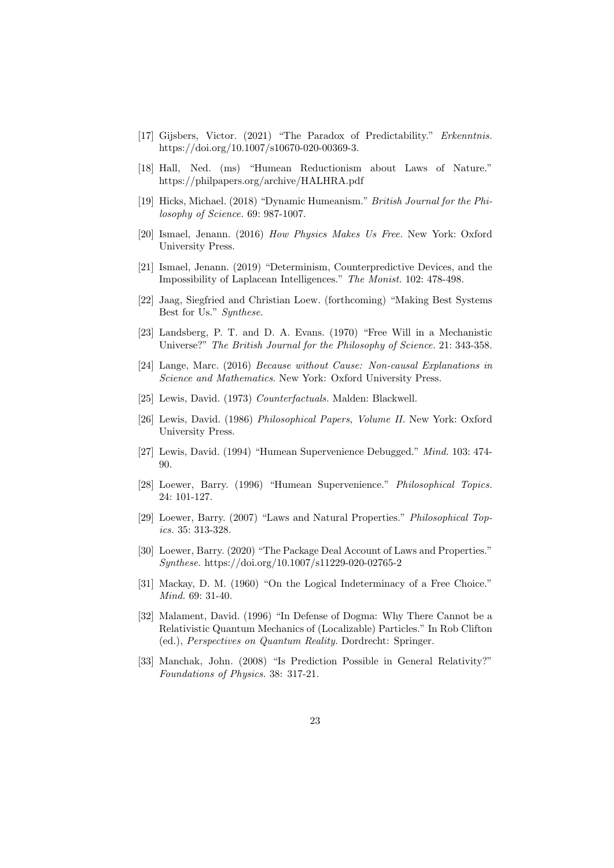- [17] Gijsbers, Victor. (2021) "The Paradox of Predictability." Erkenntnis. https://doi.org/10.1007/s10670-020-00369-3.
- [18] Hall, Ned. (ms) "Humean Reductionism about Laws of Nature." https://philpapers.org/archive/HALHRA.pdf
- [19] Hicks, Michael. (2018) "Dynamic Humeanism." British Journal for the Philosophy of Science. 69: 987-1007.
- [20] Ismael, Jenann. (2016) How Physics Makes Us Free. New York: Oxford University Press.
- [21] Ismael, Jenann. (2019) "Determinism, Counterpredictive Devices, and the Impossibility of Laplacean Intelligences." The Monist. 102: 478-498.
- [22] Jaag, Siegfried and Christian Loew. (forthcoming) "Making Best Systems Best for Us." Synthese.
- [23] Landsberg, P. T. and D. A. Evans. (1970) "Free Will in a Mechanistic Universe?" The British Journal for the Philosophy of Science. 21: 343-358.
- [24] Lange, Marc. (2016) Because without Cause: Non-causal Explanations in Science and Mathematics. New York: Oxford University Press.
- [25] Lewis, David. (1973) Counterfactuals. Malden: Blackwell.
- [26] Lewis, David. (1986) Philosophical Papers, Volume II. New York: Oxford University Press.
- [27] Lewis, David. (1994) "Humean Supervenience Debugged." Mind. 103: 474- 90.
- [28] Loewer, Barry. (1996) "Humean Supervenience." Philosophical Topics. 24: 101-127.
- [29] Loewer, Barry. (2007) "Laws and Natural Properties." Philosophical Topics. 35: 313-328.
- [30] Loewer, Barry. (2020) "The Package Deal Account of Laws and Properties." Synthese. https://doi.org/10.1007/s11229-020-02765-2
- [31] Mackay, D. M. (1960) "On the Logical Indeterminacy of a Free Choice." Mind. 69: 31-40.
- [32] Malament, David. (1996) "In Defense of Dogma: Why There Cannot be a Relativistic Quantum Mechanics of (Localizable) Particles." In Rob Clifton (ed.), Perspectives on Quantum Reality. Dordrecht: Springer.
- [33] Manchak, John. (2008) "Is Prediction Possible in General Relativity?" Foundations of Physics. 38: 317-21.